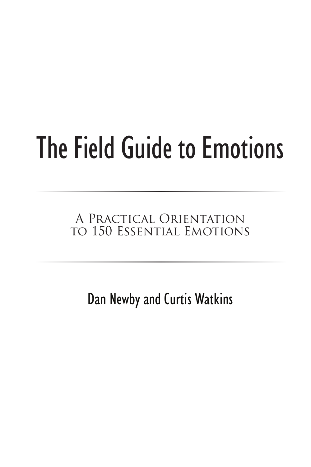# The Field Guide to Emotions

#### A Practical Orientation to 150 Essential Emotions

Dan Newby and Curtis Watkins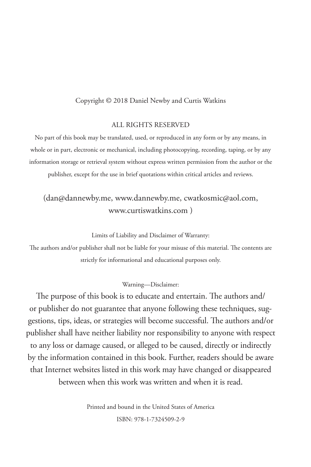#### Copyright © 2018 Daniel Newby and Curtis Watkins

#### ALL RIGHTS RESERVED

No part of this book may be translated, used, or reproduced in any form or by any means, in whole or in part, electronic or mechanical, including photocopying, recording, taping, or by any information storage or retrieval system without express written permission from the author or the publisher, except for the use in brief quotations within critical articles and reviews.

#### (dan@dannewby.me, www.dannewby.me, cwatkosmic@aol.com, www.curtiswatkins.com )

Limits of Liability and Disclaimer of Warranty:

The authors and/or publisher shall not be liable for your misuse of this material. The contents are strictly for informational and educational purposes only.

#### Warning—Disclaimer:

The purpose of this book is to educate and entertain. The authors and/ or publisher do not guarantee that anyone following these techniques, suggestions, tips, ideas, or strategies will become successful. The authors and/or publisher shall have neither liability nor responsibility to anyone with respect to any loss or damage caused, or alleged to be caused, directly or indirectly by the information contained in this book. Further, readers should be aware that Internet websites listed in this work may have changed or disappeared between when this work was written and when it is read.

> Printed and bound in the United States of America ISBN: 978-1-7324509-2-9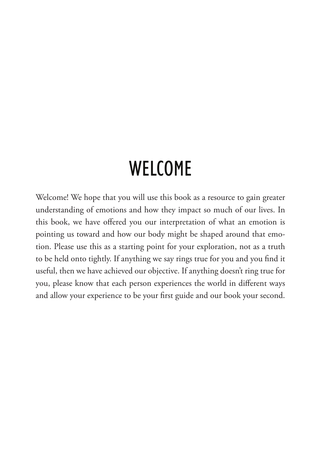## **WELCOME**

Welcome! We hope that you will use this book as a resource to gain greater understanding of emotions and how they impact so much of our lives. In this book, we have offered you our interpretation of what an emotion is pointing us toward and how our body might be shaped around that emotion. Please use this as a starting point for your exploration, not as a truth to be held onto tightly. If anything we say rings true for you and you find it useful, then we have achieved our objective. If anything doesn't ring true for you, please know that each person experiences the world in different ways and allow your experience to be your first guide and our book your second.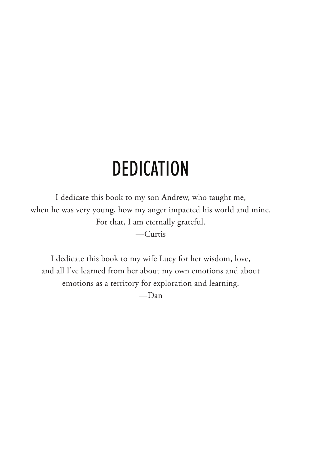# **DEDICATION**

I dedicate this book to my son Andrew, who taught me, when he was very young, how my anger impacted his world and mine. For that, I am eternally grateful. —Curtis

I dedicate this book to my wife Lucy for her wisdom, love, and all I've learned from her about my own emotions and about emotions as a territory for exploration and learning.

—Dan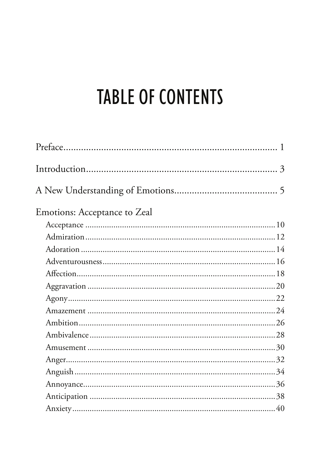# **TABLE OF CONTENTS**

| Emotions: Acceptance to Zeal |  |
|------------------------------|--|
|                              |  |
|                              |  |
|                              |  |
|                              |  |
|                              |  |
|                              |  |
|                              |  |
|                              |  |
|                              |  |
|                              |  |
|                              |  |
|                              |  |
|                              |  |
|                              |  |
|                              |  |
|                              |  |
|                              |  |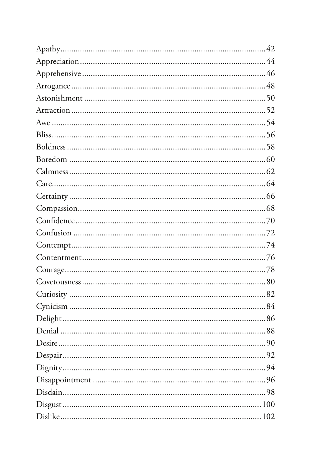| .94 |
|-----|
|     |
|     |
|     |
|     |
|     |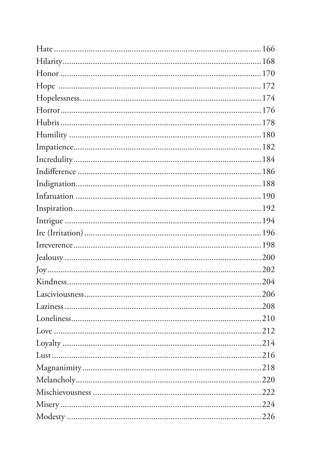| .218 |
|------|
|      |
|      |
|      |
|      |
|      |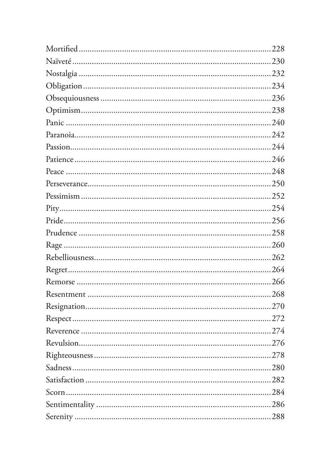| .228 |
|------|
|      |
|      |
|      |
|      |
|      |
|      |
|      |
|      |
|      |
|      |
|      |
|      |
|      |
|      |
|      |
|      |
|      |
|      |
|      |
|      |
|      |
|      |
|      |
|      |
|      |
| 280  |
|      |
|      |
|      |
|      |
|      |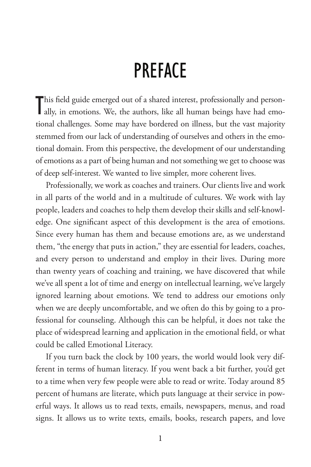## **PREFACE**

This field guide emerged out of a shared interest, professionally and personally, in emotions. We, the authors, like all human beings have had emoally, in emotions. We, the authors, like all human beings have had emotional challenges. Some may have bordered on illness, but the vast majority stemmed from our lack of understanding of ourselves and others in the emotional domain. From this perspective, the development of our understanding of emotions as a part of being human and not something we get to choose was of deep self-interest. We wanted to live simpler, more coherent lives.

Professionally, we work as coaches and trainers. Our clients live and work in all parts of the world and in a multitude of cultures. We work with lay people, leaders and coaches to help them develop their skills and self-knowledge. One significant aspect of this development is the area of emotions. Since every human has them and because emotions are, as we understand them, "the energy that puts in action," they are essential for leaders, coaches, and every person to understand and employ in their lives. During more than twenty years of coaching and training, we have discovered that while we've all spent a lot of time and energy on intellectual learning, we've largely ignored learning about emotions. We tend to address our emotions only when we are deeply uncomfortable, and we often do this by going to a professional for counseling. Although this can be helpful, it does not take the place of widespread learning and application in the emotional field, or what could be called Emotional Literacy.

If you turn back the clock by 100 years, the world would look very different in terms of human literacy. If you went back a bit further, you'd get to a time when very few people were able to read or write. Today around 85 percent of humans are literate, which puts language at their service in powerful ways. It allows us to read texts, emails, newspapers, menus, and road signs. It allows us to write texts, emails, books, research papers, and love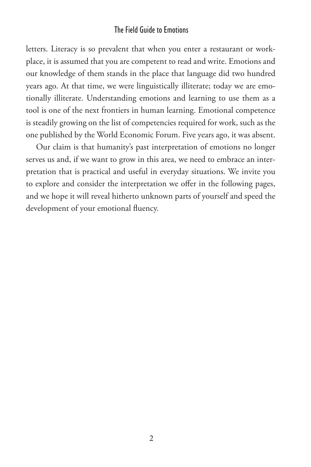#### The Field Guide to Emotions

letters. Literacy is so prevalent that when you enter a restaurant or workplace, it is assumed that you are competent to read and write. Emotions and our knowledge of them stands in the place that language did two hundred years ago. At that time, we were linguistically illiterate; today we are emotionally illiterate. Understanding emotions and learning to use them as a tool is one of the next frontiers in human learning. Emotional competence is steadily growing on the list of competencies required for work, such as the one published by the World Economic Forum. Five years ago, it was absent.

Our claim is that humanity's past interpretation of emotions no longer serves us and, if we want to grow in this area, we need to embrace an interpretation that is practical and useful in everyday situations. We invite you to explore and consider the interpretation we offer in the following pages, and we hope it will reveal hitherto unknown parts of yourself and speed the development of your emotional fluency.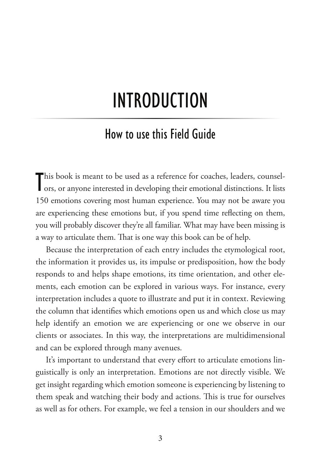# introDUction

#### how to use this field guide

This book is meant to be used as a reference for coaches, leaders, counsel-<br>ors, or anyone interested in developing their emotional distinctions. It lists ors, or anyone interested in developing their emotional distinctions. It lists 150 emotions covering most human experience. You may not be aware you are experiencing these emotions but, if you spend time reflecting on them, you will probably discover they're all familiar. What may have been missing is a way to articulate them. That is one way this book can be of help.

Because the interpretation of each entry includes the etymological root, the information it provides us, its impulse or predisposition, how the body responds to and helps shape emotions, its time orientation, and other elements, each emotion can be explored in various ways. For instance, every interpretation includes a quote to illustrate and put it in context. Reviewing the column that identifies which emotions open us and which close us may help identify an emotion we are experiencing or one we observe in our clients or associates. In this way, the interpretations are multidimensional and can be explored through many avenues.

It's important to understand that every effort to articulate emotions linguistically is only an interpretation. Emotions are not directly visible. We get insight regarding which emotion someone is experiencing by listening to them speak and watching their body and actions. This is true for ourselves as well as for others. For example, we feel a tension in our shoulders and we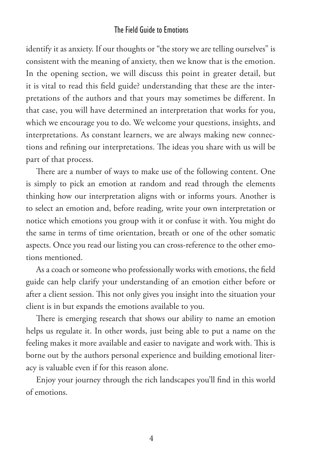#### The Field Guide to Emotions

identify it as anxiety. If our thoughts or "the story we are telling ourselves" is consistent with the meaning of anxiety, then we know that is the emotion. In the opening section, we will discuss this point in greater detail, but it is vital to read this field guide? understanding that these are the interpretations of the authors and that yours may sometimes be different. In that case, you will have determined an interpretation that works for you, which we encourage you to do. We welcome your questions, insights, and interpretations. As constant learners, we are always making new connections and refining our interpretations. The ideas you share with us will be part of that process.

There are a number of ways to make use of the following content. One is simply to pick an emotion at random and read through the elements thinking how our interpretation aligns with or informs yours. Another is to select an emotion and, before reading, write your own interpretation or notice which emotions you group with it or confuse it with. You might do the same in terms of time orientation, breath or one of the other somatic aspects. Once you read our listing you can cross-reference to the other emotions mentioned.

As a coach or someone who professionally works with emotions, the field guide can help clarify your understanding of an emotion either before or after a client session. This not only gives you insight into the situation your client is in but expands the emotions available to you.

There is emerging research that shows our ability to name an emotion helps us regulate it. In other words, just being able to put a name on the feeling makes it more available and easier to navigate and work with. This is borne out by the authors personal experience and building emotional literacy is valuable even if for this reason alone.

Enjoy your journey through the rich landscapes you'll find in this world of emotions.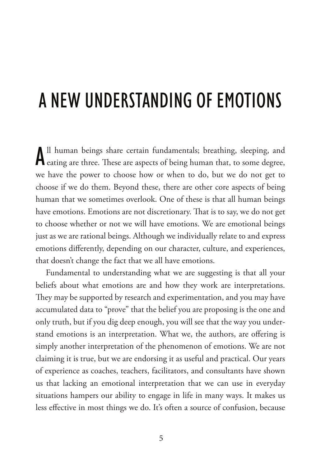# a neW UnDerstanDing of emotions

All human beings share certain fundamentals; breathing, sleeping, and eating are three. These are aspects of being human that, to some degree, ll human beings share certain fundamentals; breathing, sleeping, and we have the power to choose how or when to do, but we do not get to choose if we do them. Beyond these, there are other core aspects of being human that we sometimes overlook. One of these is that all human beings have emotions. Emotions are not discretionary. That is to say, we do not get to choose whether or not we will have emotions. We are emotional beings just as we are rational beings. Although we individually relate to and express emotions differently, depending on our character, culture, and experiences, that doesn't change the fact that we all have emotions.

Fundamental to understanding what we are suggesting is that all your beliefs about what emotions are and how they work are interpretations. They may be supported by research and experimentation, and you may have accumulated data to "prove" that the belief you are proposing is the one and only truth, but if you dig deep enough, you will see that the way you understand emotions is an interpretation. What we, the authors, are offering is simply another interpretation of the phenomenon of emotions. We are not claiming it is true, but we are endorsing it as useful and practical. Our years of experience as coaches, teachers, facilitators, and consultants have shown us that lacking an emotional interpretation that we can use in everyday situations hampers our ability to engage in life in many ways. It makes us less effective in most things we do. It's often a source of confusion, because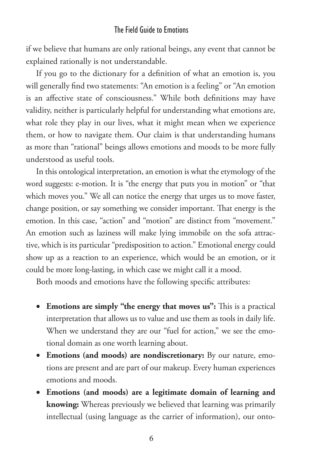#### The Field Guide to Emotions

if we believe that humans are only rational beings, any event that cannot be explained rationally is not understandable.

If you go to the dictionary for a definition of what an emotion is, you will generally find two statements: "An emotion is a feeling" or "An emotion is an affective state of consciousness." While both definitions may have validity, neither is particularly helpful for understanding what emotions are, what role they play in our lives, what it might mean when we experience them, or how to navigate them. Our claim is that understanding humans as more than "rational" beings allows emotions and moods to be more fully understood as useful tools.

In this ontological interpretation, an emotion is what the etymology of the word suggests: e-motion. It is "the energy that puts you in motion" or "that which moves you." We all can notice the energy that urges us to move faster, change position, or say something we consider important. That energy is the emotion. In this case, "action" and "motion" are distinct from "movement." An emotion such as laziness will make lying immobile on the sofa attractive, which is its particular "predisposition to action." Emotional energy could show up as a reaction to an experience, which would be an emotion, or it could be more long-lasting, in which case we might call it a mood.

Both moods and emotions have the following specific attributes:

- Emotions are simply "the energy that moves us": This is a practical interpretation that allows us to value and use them as tools in daily life. When we understand they are our "fuel for action," we see the emotional domain as one worth learning about.
- • **Emotions (and moods) are nondiscretionary:** By our nature, emotions are present and are part of our makeup. Every human experiences emotions and moods.
- • **Emotions (and moods) are a legitimate domain of learning and knowing:** Whereas previously we believed that learning was primarily intellectual (using language as the carrier of information), our onto-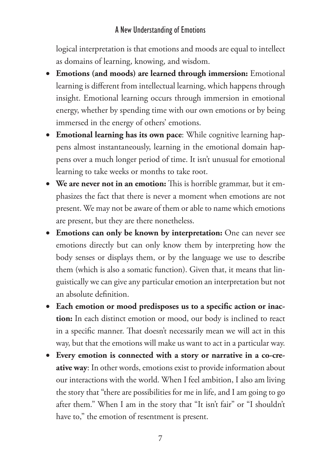#### A New Understanding of Emotions

logical interpretation is that emotions and moods are equal to intellect as domains of learning, knowing, and wisdom.

- • **Emotions (and moods) are learned through immersion:** Emotional learning is different from intellectual learning, which happens through insight. Emotional learning occurs through immersion in emotional energy, whether by spending time with our own emotions or by being immersed in the energy of others' emotions.
- • **Emotional learning has its own pace**: While cognitive learning happens almost instantaneously, learning in the emotional domain happens over a much longer period of time. It isn't unusual for emotional learning to take weeks or months to take root.
- We are never not in an emotion: This is horrible grammar, but it emphasizes the fact that there is never a moment when emotions are not present. We may not be aware of them or able to name which emotions are present, but they are there nonetheless.
- • **Emotions can only be known by interpretation:** One can never see emotions directly but can only know them by interpreting how the body senses or displays them, or by the language we use to describe them (which is also a somatic function). Given that, it means that linguistically we can give any particular emotion an interpretation but not an absolute definition.
- Each emotion or mood predisposes us to a specific action or inac**tion:** In each distinct emotion or mood, our body is inclined to react in a specific manner. That doesn't necessarily mean we will act in this way, but that the emotions will make us want to act in a particular way.
- • **Every emotion is connected with a story or narrative in a co-creative way**: In other words, emotions exist to provide information about our interactions with the world. When I feel ambition, I also am living the story that "there are possibilities for me in life, and I am going to go after them." When I am in the story that "It isn't fair" or "I shouldn't have to," the emotion of resentment is present.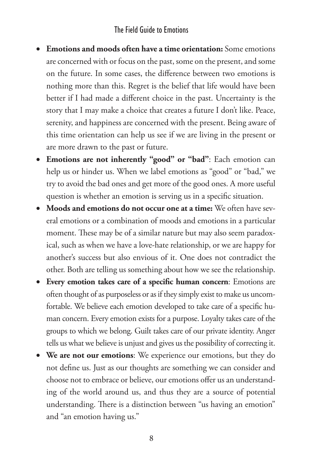#### The Field Guide to Emotions

- • **Emotions and moods often have a time orientation:** Some emotions are concerned with or focus on the past, some on the present, and some on the future. In some cases, the difference between two emotions is nothing more than this. Regret is the belief that life would have been better if I had made a different choice in the past. Uncertainty is the story that I may make a choice that creates a future I don't like. Peace, serenity, and happiness are concerned with the present. Being aware of this time orientation can help us see if we are living in the present or are more drawn to the past or future.
- • **Emotions are not inherently "good" or "bad"**: Each emotion can help us or hinder us. When we label emotions as "good" or "bad," we try to avoid the bad ones and get more of the good ones. A more useful question is whether an emotion is serving us in a specific situation.
- • **Moods and emotions do not occur one at a time:** We often have several emotions or a combination of moods and emotions in a particular moment. These may be of a similar nature but may also seem paradoxical, such as when we have a love-hate relationship, or we are happy for another's success but also envious of it. One does not contradict the other. Both are telling us something about how we see the relationship.
- • **Every emotion takes care of a speci!c human concern**: Emotions are often thought of as purposeless or as if they simply exist to make us uncomfortable. We believe each emotion developed to take care of a specific human concern. Every emotion exists for a purpose. Loyalty takes care of the groups to which we belong. Guilt takes care of our private identity. Anger tells us what we believe is unjust and gives us the possibility of correcting it.
- • **We are not our emotions**: We experience our emotions, but they do not define us. Just as our thoughts are something we can consider and choose not to embrace or believe, our emotions offer us an understanding of the world around us, and thus they are a source of potential understanding. There is a distinction between "us having an emotion" and "an emotion having us."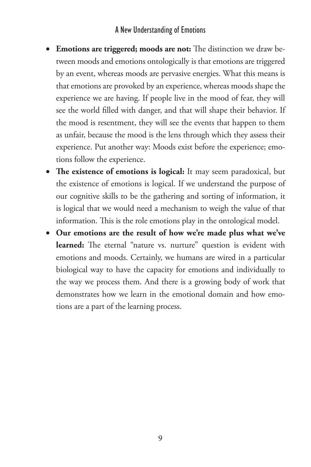#### A New Understanding of Emotions

- Emotions are triggered; moods are not: The distinction we draw between moods and emotions ontologically is that emotions are triggered by an event, whereas moods are pervasive energies. What this means is that emotions are provoked by an experience, whereas moods shape the experience we are having. If people live in the mood of fear, they will see the world filled with danger, and that will shape their behavior. If the mood is resentment, they will see the events that happen to them as unfair, because the mood is the lens through which they assess their experience. Put another way: Moods exist before the experience; emotions follow the experience.
- The existence of emotions is logical: It may seem paradoxical, but the existence of emotions is logical. If we understand the purpose of our cognitive skills to be the gathering and sorting of information, it is logical that we would need a mechanism to weigh the value of that information. This is the role emotions play in the ontological model.
- • **Our emotions are the result of how we're made plus what we've**  learned: The eternal "nature vs. nurture" question is evident with emotions and moods. Certainly, we humans are wired in a particular biological way to have the capacity for emotions and individually to the way we process them. And there is a growing body of work that demonstrates how we learn in the emotional domain and how emotions are a part of the learning process.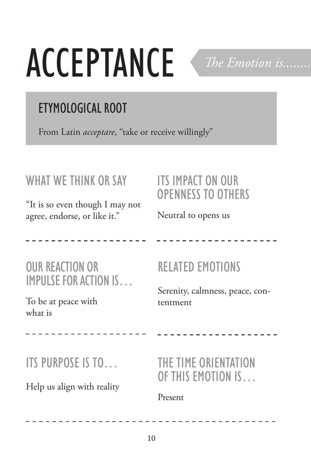# **ACCEPTANCE**

The Emotion is.......

## **ETYMOLOGICAL ROOT**

From Latin *acceptare*, "take or receive willingly"

#### WHAT WE THINK OR SAY

"It is so even though I may not agree, endorse, or like it."

#### **ITS IMPACT ON OUR OPENNESS TO OTHERS**

Neutral to opens us

**OUR REACTION OR IMPULSE FOR ACTION IS...** 

To be at peace with what is

### **RELATED EMOTIONS**

Serenity, calmness, peace, contentment

ITS PURPOSE IS TO...

Help us align with reality

THE TIME ORIENTATION OF THIS EMOTION IS.

--------------

Present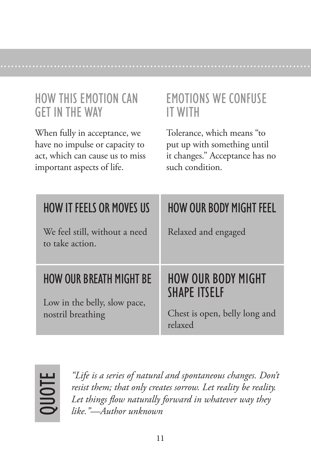#### **HOW THIS EMOTION CAN GFT IN THE WAY**

When fully in acceptance, we have no impulse or capacity to act, which can cause us to miss important aspects of life.

#### **EMOTIONS WE CONFUSE IT WITH**

Tolerance, which means "to put up with something until it changes." Acceptance has no such condition.

| <b>HOW IT FEELS OR MOVES US</b>                  | <b>HOW OUR BODY MIGHT FEEL</b>                   |
|--------------------------------------------------|--------------------------------------------------|
| We feel still, without a need<br>to take action. | Relaxed and engaged                              |
|                                                  |                                                  |
| <b>HOW OUR BREATH MIGHT BE</b>                   | <b>HOW OUR BODY MIGHT</b><br><b>SHAPE ITSELF</b> |



"Life is a series of natural and spontaneous changes. Don't resist them; that only creates sorrow. Let reality be reality. Let things flow naturally forward in whatever way they like."-Author unknown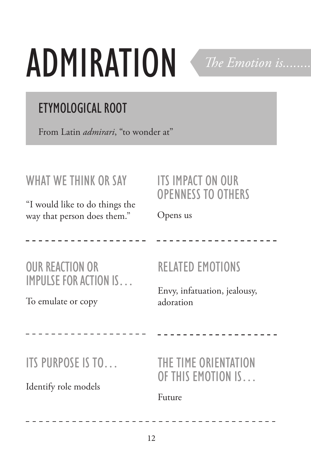# **ADMIRATION**

## **ETYMOLOGICAL ROOT**

From Latin *admirari*, "to wonder at"

#### WHAT WE THINK OR SAY

"I would like to do things the way that person does them."

#### **ITS IMPACT ON OUR OPENNESS TO OTHERS**

The Emotion is.......

Opens us

**OUR REACTION OR IMPULSE FOR ACTION IS...** 

To emulate or copy

**RELATED EMOTIONS** 

Envy, infatuation, jealousy, adoration

- - - - - - - - - - - - - -

ITS PURPOSE IS TO...

Identify role models

THE TIME ORIENTATION OF THIS EMOTION IS.

Future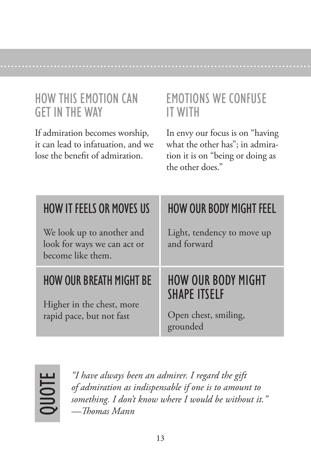#### **HOW THIS EMOTION CAN GFT IN THE WAY**

If admiration becomes worship, it can lead to infatuation, and we lose the benefit of admiration.

#### **EMOTIONS WE CONFUSE IT WITH**

In envy our focus is on "having what the other has"; in admiration it is on "being or doing as the other does."

| <b>HOW IT FEELS OR MOVES US</b>                                               | <b>HOW OUR BODY MIGHT FEEL</b>                   |
|-------------------------------------------------------------------------------|--------------------------------------------------|
| We look up to another and<br>look for ways we can act or<br>become like them. | Light, tendency to move up<br>and forward        |
|                                                                               |                                                  |
| <b>HOW OUR BREATH MIGHT BE</b>                                                | <b>HOW OUR BODY MIGHT</b><br><b>SHAPE ITSELF</b> |



"I have always been an admirer. I regard the gift of admiration as indispensable if one is to amount to something. I don't know where I would be without it." -Thomas Mann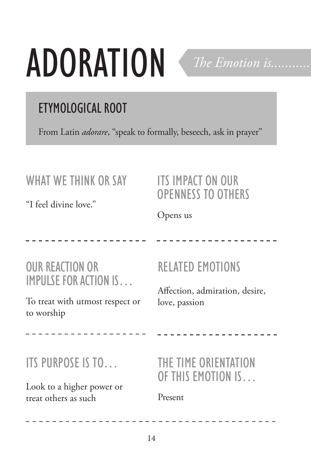# **ADORATION**



## **ETYMOLOGICAL ROOT**

From Latin *adorare*, "speak to formally, beseech, ask in prayer"

#### WHAT WE THINK OR SAY

"I feel divine love."

#### **ITS IMPACT ON OUR OPENNESS TO OTHERS**

Opens us

#### **OUR REACTION OR IMPULSE FOR ACTION IS...**

To treat with utmost respect or to worship

 $- - - - - - -$ 

### **RELATED EMOTIONS**

Affection, admiration, desire, love, passion

#### ITS PURPOSE IS TO...

Look to a higher power or treat others as such

#### THE TIME ORIENTATION OF THIS EMOTION IS.

Present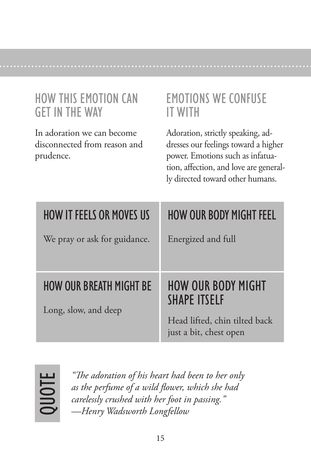#### **HOW THIS EMOTION CAN GFT IN THE WAY**

In adoration we can become disconnected from reason and prudence.

#### **EMOTIONS WE CONFUSE IT WITH**

Adoration, strictly speaking, addresses our feelings toward a higher power. Emotions such as infatuation, affection, and love are generally directed toward other humans.

| <b>HOW IT FEELS OR MOVES US</b>                 | <b>HOW OUR BODY MIGHT FEEL</b>                   |
|-------------------------------------------------|--------------------------------------------------|
| We pray or ask for guidance.                    | Energized and full                               |
|                                                 |                                                  |
| HOW OUR BREATH MIGHT BE<br>Long, slow, and deep | <b>HOW OUR BODY MIGHT</b><br><b>SHAPE ITSELF</b> |



"The adoration of his heart had been to her only as the perfume of a wild flower, which she had carelessly crushed with her foot in passing." -Henry Wadsworth Longfellow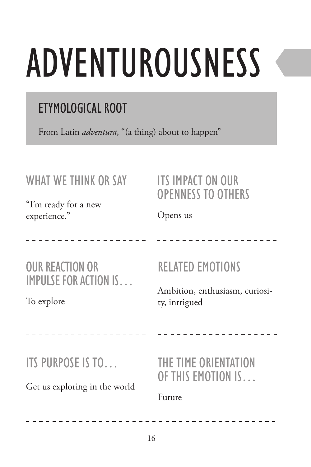# aDventUroUsness

## etymological root

From Latin *adventura*, "(a thing) about to happen"

#### WHAT WE THINK OR SAY

"I'm ready for a new experience."

#### ITS IMPACT ON OUR oPenness to others

Opens us

oUr reaction or imPUlse for action is…

To explore

#### RELATED EMOTIONS

Ambition, enthusiasm, curiosity, intrigued

its PUrPose is to…

Get us exploring in the world

the time orientation of this emotion is…

-------------

Future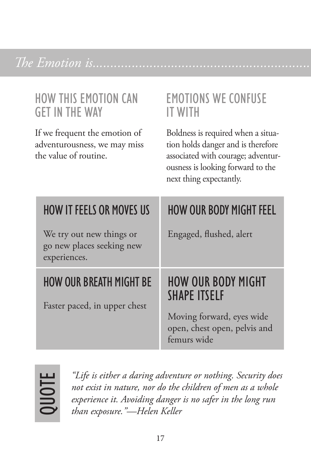### The Emotion is.....

#### **HOW THIS EMOTION CAN GFT IN THE WAY**

If we frequent the emotion of adventurousness, we may miss the value of routine.

#### **EMOTIONS WE CONFUSE IT WITH**

Boldness is required when a situation holds danger and is therefore associated with courage; adventurousness is looking forward to the next thing expectantly.

| <b>HOW IT FEELS OR MOVES US</b>                                       | <b>HOW OUR BODY MIGHT FEEL</b>                   |
|-----------------------------------------------------------------------|--------------------------------------------------|
| We try out new things or<br>go new places seeking new<br>experiences. | Engaged, flushed, alert                          |
|                                                                       |                                                  |
| <b>HOW OUR BREATH MIGHT BE</b><br>Faster paced, in upper chest        | <b>HOW OUR BODY MIGHT</b><br><b>SHAPE ITSELF</b> |



"Life is either a daring adventure or nothing. Security does not exist in nature, nor do the children of men as a whole experience it. Avoiding danger is no safer in the long run than exposure."-Helen Keller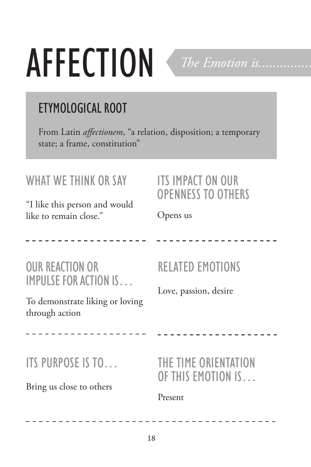# **AFFECTION**

## **ETYMOLOGICAL ROOT**

From Latin affectionem, "a relation, disposition; a temporary state; a frame, constitution"

#### **WHAT WE THINK OR SAY**

"I like this person and would like to remain close."

#### **ITS IMPACT ON OUR OPENNESS TO OTHERS**

The Emotion is.....

Opens us

**OUR REACTION OR IMPULSE FOR ACTION IS...** 

To demonstrate liking or loving through action

 $\frac{1}{2}$ 

### **RELATED EMOTIONS**

THE TIME ORIENTATION OF THIS EMOTION IS.

Love, passion, desire

ITS PURPOSE IS TO...

Bring us close to others

Present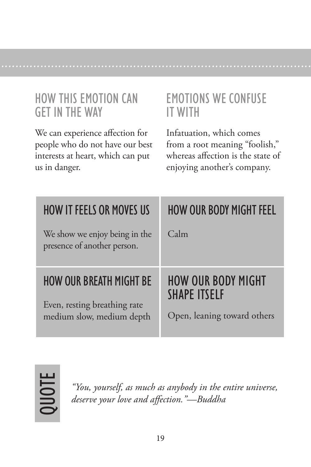#### **HOW THIS EMOTION CAN GFT IN THE WAY**

We can experience affection for people who do not have our best interests at heart, which can put us in danger.

#### **EMOTIONS WE CONFUSE IT WITH**

Infatuation, which comes from a root meaning "foolish," whereas affection is the state of enjoying another's company.

| <b>HOW IT FEELS OR MOVES US</b>                                                             | <b>HOW OUR BODY MIGHT FEEL</b>                                                  |
|---------------------------------------------------------------------------------------------|---------------------------------------------------------------------------------|
| We show we enjoy being in the<br>presence of another person.                                | Calm                                                                            |
| <b>HOW OUR BREATH MIGHT BE</b><br>Even, resting breathing rate<br>medium slow, medium depth | <b>HOW OUR BODY MIGHT</b><br><b>SHAPE ITSELF</b><br>Open, leaning toward others |



"You, yourself, as much as anybody in the entire universe, deserve your love and affection."-Buddha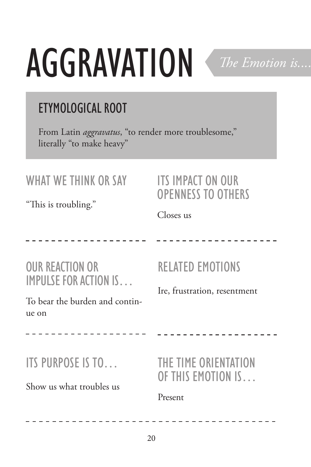# AGGRAVATION

### **ETYMOLOGICAL ROOT**

From Latin *aggravatus*, "to render more troublesome," literally "to make heavy"

#### **WHAT WE THINK OR SAY**

"This is troubling."

#### **ITS IMPACT ON OUR OPENNESS TO OTHERS**

The Emotion is...

Closes us

**OUR REACTION OR IMPULSE FOR ACTION IS...** 

To bear the burden and continue on

#### **RELATED EMOTIONS**

Ire, frustration, resentment

#### ITS PURPOSE IS TO...

Show us what troubles us

THE TIME ORIENTATION OF THIS EMOTION IS.

. . . . . . . . . . . . . . .

Present